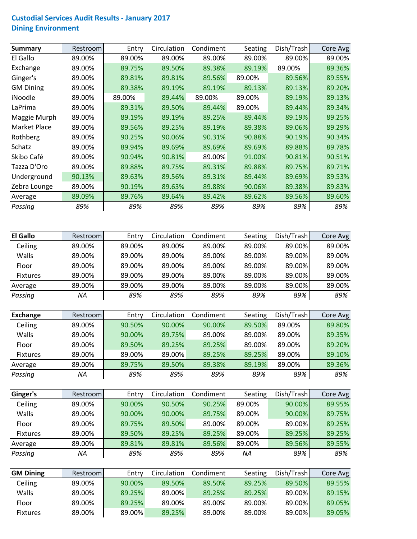## **Custodial Services Audit Results ‐ January 2017 Dining Environment**

| <b>Summary</b>   | Restroom | Entry  | Circulation | Condiment | Seating | Dish/Trash | Core Avg |
|------------------|----------|--------|-------------|-----------|---------|------------|----------|
| El Gallo         | 89.00%   | 89.00% | 89.00%      | 89.00%    | 89.00%  | 89.00%     | 89.00%   |
| Exchange         | 89.00%   | 89.75% | 89.50%      | 89.38%    | 89.19%  | 89.00%     | 89.36%   |
| Ginger's         | 89.00%   | 89.81% | 89.81%      | 89.56%    | 89.00%  | 89.56%     | 89.55%   |
| <b>GM Dining</b> | 89.00%   | 89.38% | 89.19%      | 89.19%    | 89.13%  | 89.13%     | 89.20%   |
| iNoodle          | 89.00%   | 89.00% | 89.44%      | 89.00%    | 89.00%  | 89.19%     | 89.13%   |
| LaPrima          | 89.00%   | 89.31% | 89.50%      | 89.44%    | 89.00%  | 89.44%     | 89.34%   |
| Maggie Murph     | 89.00%   | 89.19% | 89.19%      | 89.25%    | 89.44%  | 89.19%     | 89.25%   |
| Market Place     | 89.00%   | 89.56% | 89.25%      | 89.19%    | 89.38%  | 89.06%     | 89.29%   |
| Rothberg         | 89.00%   | 90.25% | 90.06%      | 90.31%    | 90.88%  | 90.19%     | 90.34%   |
| Schatz           | 89.00%   | 89.94% | 89.69%      | 89.69%    | 89.69%  | 89.88%     | 89.78%   |
| Skibo Café       | 89.00%   | 90.94% | 90.81%      | 89.00%    | 91.00%  | 90.81%     | 90.51%   |
| Tazza D'Oro      | 89.00%   | 89.88% | 89.75%      | 89.31%    | 89.88%  | 89.75%     | 89.71%   |
| Underground      | 90.13%   | 89.63% | 89.56%      | 89.31%    | 89.44%  | 89.69%     | 89.53%   |
| Zebra Lounge     | 89.00%   | 90.19% | 89.63%      | 89.88%    | 90.06%  | 89.38%     | 89.83%   |
| Average          | 89.09%   | 89.76% | 89.64%      | 89.42%    | 89.62%  | 89.56%     | 89.60%   |
| Passing          | 89%      | 89%    | 89%         | 89%       | 89%     | 89%        | 89%      |

| <b>El Gallo</b> | Restroom | Entry  | Circulation | Condiment | Seating | Dish/Trash | Core Avg |
|-----------------|----------|--------|-------------|-----------|---------|------------|----------|
| Ceiling         | 89.00%   | 89.00% | 89.00%      | 89.00%    | 89.00%  | 89.00%     | 89.00%   |
| Walls           | 89.00%   | 89.00% | 89.00%      | 89.00%    | 89.00%  | 89.00%     | 89.00%   |
| Floor           | 89.00%   | 89.00% | 89.00%      | 89.00%    | 89.00%  | 89.00%     | 89.00%   |
| <b>Fixtures</b> | 89.00%   | 89.00% | 89.00%      | 89.00%    | 89.00%  | 89.00%     | 89.00%   |
| Average         | 89.00%   | 89.00% | 89.00%      | 89.00%    | 89.00%  | 89.00%     | 89.00%   |
| Passing         | ΝA       | 89%    | 89%         | 89%       | 89%     | 89%        | 89%      |

| Exchange        | <b>Restroom</b> | Entry  | Circulation | Condiment | Seating | Dish/Trash | Core Avg |
|-----------------|-----------------|--------|-------------|-----------|---------|------------|----------|
| Ceiling         | 89.00%          | 90.50% | 90.00%      | 90.00%    | 89.50%  | 89.00%     | 89.80%   |
| <b>Walls</b>    | 89.00%          | 90.00% | 89.75%      | 89.00%    | 89.00%  | 89.00%     | 89.35%   |
| Floor           | 89.00%          | 89.50% | 89.25%      | 89.25%    | 89.00%  | 89.00%     | 89.20%   |
| <b>Fixtures</b> | 89.00%          | 89.00% | 89.00%      | 89.25%    | 89.25%  | 89.00%     | 89.10%   |
| Average         | 89.00%          | 89.75% | 89.50%      | 89.38%    | 89.19%  | 89.00%     | 89.36%   |
| Passing         | ΝA              | 89%    | 89%         | 89%       | 89%     | 89%        | 89%      |

| Ginger's        | Restroom | Entry  | Circulation | Condiment | Seating | Dish/Trash | Core Avg |
|-----------------|----------|--------|-------------|-----------|---------|------------|----------|
| Ceiling         | 89.00%   | 90.00% | 90.50%      | 90.25%    | 89.00%  | 90.00%     | 89.95%   |
| Walls           | 89.00%   | 90.00% | 90.00%      | 89.75%    | 89.00%  | 90.00%     | 89.75%   |
| Floor           | 89.00%   | 89.75% | 89.50%      | 89.00%    | 89.00%  | 89.00%I    | 89.25%   |
| <b>Fixtures</b> | 89.00%   | 89.50% | 89.25%      | 89.25%    | 89.00%  | 89.25%     | 89.25%   |
| Average         | 89.00%   | 89.81% | 89.81%      | 89.56%    | 89.00%  | 89.56%     | 89.55%   |
| Passing         | ΝA       | 89%    | 89%         | 89%       | ΝA      | 89%        | 89%      |

| <b>GM Dining</b> | <b>Restroom</b> | Entry  | Circulation | Condiment | Seating | Dish/Trash | Core Avg |
|------------------|-----------------|--------|-------------|-----------|---------|------------|----------|
| Ceiling          | 89.00%          | 90.00% | 89.50%      | 89.50%    | 89.25%  | 89.50%     | 89.55%   |
| Walls            | 89.00%          | 89.25% | 89.00%      | 89.25%    | 89.25%  | 89.00%     | 89.15%   |
| Floor            | 89.00%          | 89.25% | 89.00%      | 89.00%    | 89.00%  | 89.00%     | 89.05%   |
| <b>Fixtures</b>  | 89.00%          | 89.00% | 89.25%      | 89.00%    | 89.00%  | 89.00%     | 89.05%   |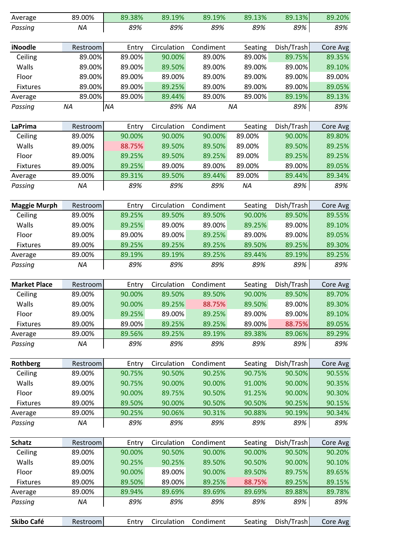| Average             | 89.00%    | 89.38%    | 89.19%      | 89.19%    | 89.13%    | 89.13%     | 89.20%   |
|---------------------|-----------|-----------|-------------|-----------|-----------|------------|----------|
| Passing             | <b>NA</b> | 89%       | 89%         | 89%       | 89%       | 89%        | 89%      |
|                     |           |           |             |           |           |            |          |
| iNoodle             | Restroom  | Entry     | Circulation | Condiment | Seating   | Dish/Trash | Core Avg |
| Ceiling             | 89.00%    | 89.00%    | 90.00%      | 89.00%    | 89.00%    | 89.75%     | 89.35%   |
| Walls               | 89.00%    | 89.00%    | 89.50%      | 89.00%    | 89.00%    | 89.00%     | 89.10%   |
| Floor               | 89.00%    | 89.00%    | 89.00%      | 89.00%    | 89.00%    | 89.00%     | 89.00%   |
| Fixtures            | 89.00%    | 89.00%    | 89.25%      | 89.00%    | 89.00%    | 89.00%     | 89.05%   |
| Average             | 89.00%    | 89.00%    | 89.44%      | 89.00%    | 89.00%    | 89.19%     | 89.13%   |
| Passing             | <b>NA</b> | <b>NA</b> | 89% NA      |           | <b>NA</b> | 89%        | 89%      |
|                     |           |           |             |           |           |            |          |
| LaPrima             | Restroom  | Entry     | Circulation | Condiment | Seating   | Dish/Trash | Core Avg |
| Ceiling             | 89.00%    | 90.00%    | 90.00%      | 90.00%    | 89.00%    | 90.00%     | 89.80%   |
| Walls               | 89.00%    | 88.75%    | 89.50%      | 89.50%    | 89.00%    | 89.50%     | 89.25%   |
| Floor               | 89.00%    | 89.25%    | 89.50%      | 89.25%    | 89.00%    | 89.25%     | 89.25%   |
| <b>Fixtures</b>     | 89.00%    | 89.25%    | 89.00%      | 89.00%    | 89.00%    | 89.00%     | 89.05%   |
| Average             | 89.00%    | 89.31%    | 89.50%      | 89.44%    | 89.00%    | 89.44%     | 89.34%   |
| Passing             | ΝA        | 89%       | 89%         | 89%       | <b>NA</b> | 89%        | 89%      |
|                     |           |           |             |           |           |            |          |
| <b>Maggie Murph</b> | Restroom  | Entry     | Circulation | Condiment | Seating   | Dish/Trash | Core Avg |
| Ceiling             | 89.00%    | 89.25%    | 89.50%      | 89.50%    | 90.00%    | 89.50%     | 89.55%   |
| Walls               | 89.00%    | 89.25%    | 89.00%      | 89.00%    | 89.25%    | 89.00%     | 89.10%   |
| Floor               | 89.00%    | 89.00%    | 89.00%      | 89.25%    | 89.00%    | 89.00%     | 89.05%   |
| Fixtures            | 89.00%    | 89.25%    | 89.25%      | 89.25%    | 89.50%    | 89.25%     | 89.30%   |
| Average             | 89.00%    | 89.19%    | 89.19%      | 89.25%    | 89.44%    | 89.19%     | 89.25%   |
| Passing             | <b>NA</b> | 89%       | 89%         | 89%       | 89%       | 89%        | 89%      |
|                     |           |           |             |           |           |            |          |
| <b>Market Place</b> | Restroom  | Entry     | Circulation | Condiment | Seating   | Dish/Trash | Core Avg |
| Ceiling             | 89.00%    | 90.00%    | 89.50%      | 89.50%    | 90.00%    | 89.50%     | 89.70%   |
| Walls               | 89.00%    | 90.00%    | 89.25%      | 88.75%    | 89.50%    | 89.00%     | 89.30%   |
| Floor               | 89.00%    | 89.25%    | 89.00%      | 89.25%    | 89.00%    | 89.00%     | 89.10%   |
| <b>Fixtures</b>     | 89.00%    | 89.00%    | 89.25%      | 89.25%    | 89.00%    | 88.75%     | 89.05%   |
| Average             | 89.00%    | 89.56%    | 89.25%      | 89.19%    | 89.38%    | 89.06%     | 89.29%   |
| Passing             | <b>NA</b> | 89%       | 89%         | 89%       | 89%       | 89%        | 89%      |
| <b>Rothberg</b>     | Restroom  | Entry     | Circulation | Condiment | Seating   | Dish/Trash | Core Avg |
| Ceiling             | 89.00%    | 90.75%    | 90.50%      | 90.25%    | 90.75%    | 90.50%     | 90.55%   |
| Walls               | 89.00%    | 90.75%    | 90.00%      | 90.00%    | 91.00%    | 90.00%     | 90.35%   |
| Floor               | 89.00%    | 90.00%    | 89.75%      | 90.50%    | 91.25%    | 90.00%     | 90.30%   |
| Fixtures            | 89.00%    | 89.50%    | 90.00%      | 90.50%    | 90.50%    | 90.25%     | 90.15%   |
| Average             | 89.00%    | 90.25%    | 90.06%      | 90.31%    | 90.88%    | 90.19%     | 90.34%   |
| Passing             | ΝA        | 89%       | 89%         | 89%       | 89%       | 89%        | 89%      |
|                     |           |           |             |           |           |            |          |
| <b>Schatz</b>       | Restroom  | Entry     | Circulation | Condiment | Seating   | Dish/Trash | Core Avg |
| Ceiling             | 89.00%    | 90.00%    | 90.50%      | 90.00%    | 90.00%    | 90.50%     | 90.20%   |
| Walls               | 89.00%    | 90.25%    | 90.25%      | 89.50%    | 90.50%    | 90.00%     | 90.10%   |
| Floor               | 89.00%    | 90.00%    | 89.00%      | 90.00%    | 89.50%    | 89.75%     | 89.65%   |
| Fixtures            | 89.00%    | 89.50%    | 89.00%      | 89.25%    | 88.75%    | 89.25%     | 89.15%   |
| Average             | 89.00%    | 89.94%    | 89.69%      | 89.69%    | 89.69%    | 89.88%     | 89.78%   |
| Passing             | ΝA        | 89%       | 89%         | 89%       | 89%       | 89%        | 89%      |
|                     |           |           |             |           |           |            |          |
| Skibo Café          | Restroom  | Entry     | Circulation | Condiment | Seating   | Dish/Trash | Core Avg |